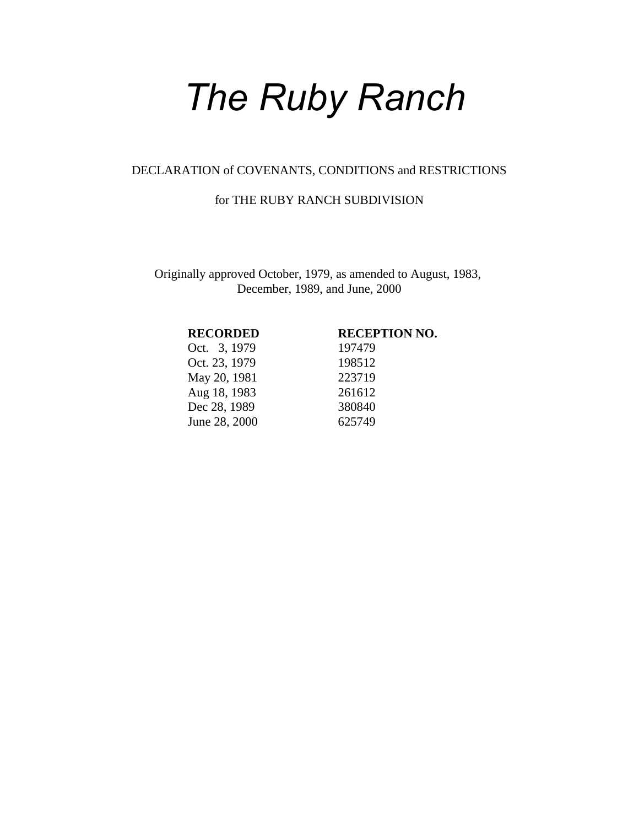# *The Ruby Ranch*

#### DECLARATION of COVENANTS, CONDITIONS and RESTRICTIONS

#### for THE RUBY RANCH SUBDIVISION

Originally approved October, 1979, as amended to August, 1983, December, 1989, and June, 2000

Oct. 3, 1979 197479 Oct. 23, 1979 198512 May 20, 1981 223719 Aug 18, 1983 261612 Dec 28, 1989 380840 June 28, 2000 625749

#### **RECORDED RECEPTION NO.**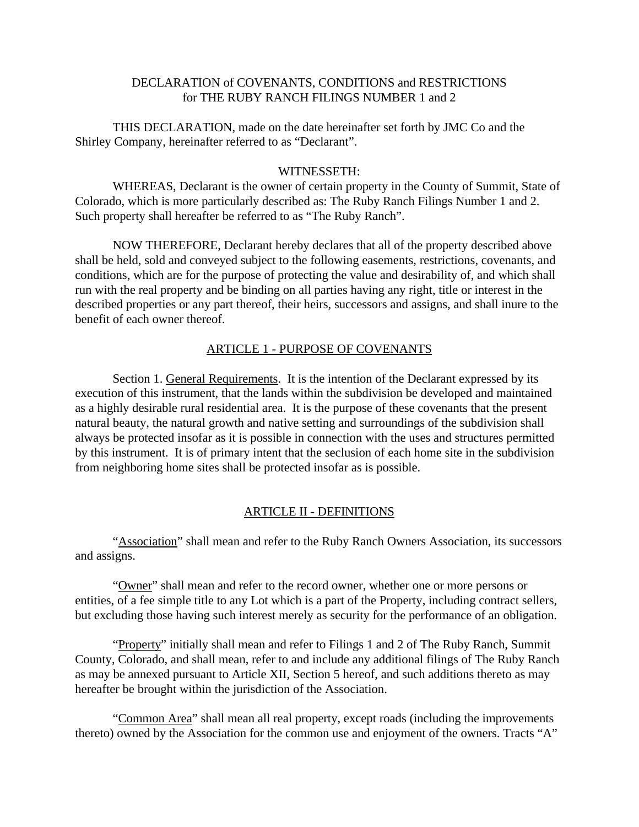#### DECLARATION of COVENANTS, CONDITIONS and RESTRICTIONS for THE RUBY RANCH FILINGS NUMBER 1 and 2

THIS DECLARATION, made on the date hereinafter set forth by JMC Co and the Shirley Company, hereinafter referred to as "Declarant".

#### WITNESSETH:

WHEREAS, Declarant is the owner of certain property in the County of Summit, State of Colorado, which is more particularly described as: The Ruby Ranch Filings Number 1 and 2. Such property shall hereafter be referred to as "The Ruby Ranch".

NOW THEREFORE, Declarant hereby declares that all of the property described above shall be held, sold and conveyed subject to the following easements, restrictions, covenants, and conditions, which are for the purpose of protecting the value and desirability of, and which shall run with the real property and be binding on all parties having any right, title or interest in the described properties or any part thereof, their heirs, successors and assigns, and shall inure to the benefit of each owner thereof.

### ARTICLE 1 - PURPOSE OF COVENANTS

Section 1. General Requirements. It is the intention of the Declarant expressed by its execution of this instrument, that the lands within the subdivision be developed and maintained as a highly desirable rural residential area. It is the purpose of these covenants that the present natural beauty, the natural growth and native setting and surroundings of the subdivision shall always be protected insofar as it is possible in connection with the uses and structures permitted by this instrument. It is of primary intent that the seclusion of each home site in the subdivision from neighboring home sites shall be protected insofar as is possible.

#### ARTICLE II - DEFINITIONS

"Association" shall mean and refer to the Ruby Ranch Owners Association, its successors and assigns.

"Owner" shall mean and refer to the record owner, whether one or more persons or entities, of a fee simple title to any Lot which is a part of the Property, including contract sellers, but excluding those having such interest merely as security for the performance of an obligation.

"Property" initially shall mean and refer to Filings 1 and 2 of The Ruby Ranch, Summit County, Colorado, and shall mean, refer to and include any additional filings of The Ruby Ranch as may be annexed pursuant to Article XII, Section 5 hereof, and such additions thereto as may hereafter be brought within the jurisdiction of the Association.

"Common Area" shall mean all real property, except roads (including the improvements thereto) owned by the Association for the common use and enjoyment of the owners. Tracts "A"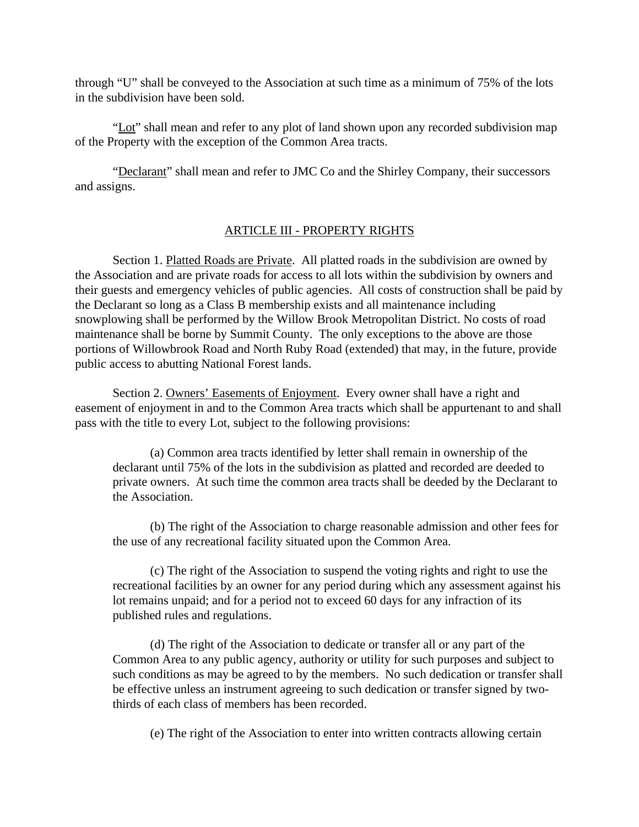through "U" shall be conveyed to the Association at such time as a minimum of 75% of the lots in the subdivision have been sold.

"Lot" shall mean and refer to any plot of land shown upon any recorded subdivision map of the Property with the exception of the Common Area tracts.

"Declarant" shall mean and refer to JMC Co and the Shirley Company, their successors and assigns.

#### ARTICLE III - PROPERTY RIGHTS

Section 1. Platted Roads are Private. All platted roads in the subdivision are owned by the Association and are private roads for access to all lots within the subdivision by owners and their guests and emergency vehicles of public agencies. All costs of construction shall be paid by the Declarant so long as a Class B membership exists and all maintenance including snowplowing shall be performed by the Willow Brook Metropolitan District. No costs of road maintenance shall be borne by Summit County. The only exceptions to the above are those portions of Willowbrook Road and North Ruby Road (extended) that may, in the future, provide public access to abutting National Forest lands.

Section 2. Owners' Easements of Enjoyment. Every owner shall have a right and easement of enjoyment in and to the Common Area tracts which shall be appurtenant to and shall pass with the title to every Lot, subject to the following provisions:

(a) Common area tracts identified by letter shall remain in ownership of the declarant until 75% of the lots in the subdivision as platted and recorded are deeded to private owners. At such time the common area tracts shall be deeded by the Declarant to the Association.

(b) The right of the Association to charge reasonable admission and other fees for the use of any recreational facility situated upon the Common Area.

(c) The right of the Association to suspend the voting rights and right to use the recreational facilities by an owner for any period during which any assessment against his lot remains unpaid; and for a period not to exceed 60 days for any infraction of its published rules and regulations.

(d) The right of the Association to dedicate or transfer all or any part of the Common Area to any public agency, authority or utility for such purposes and subject to such conditions as may be agreed to by the members. No such dedication or transfer shall be effective unless an instrument agreeing to such dedication or transfer signed by twothirds of each class of members has been recorded.

(e) The right of the Association to enter into written contracts allowing certain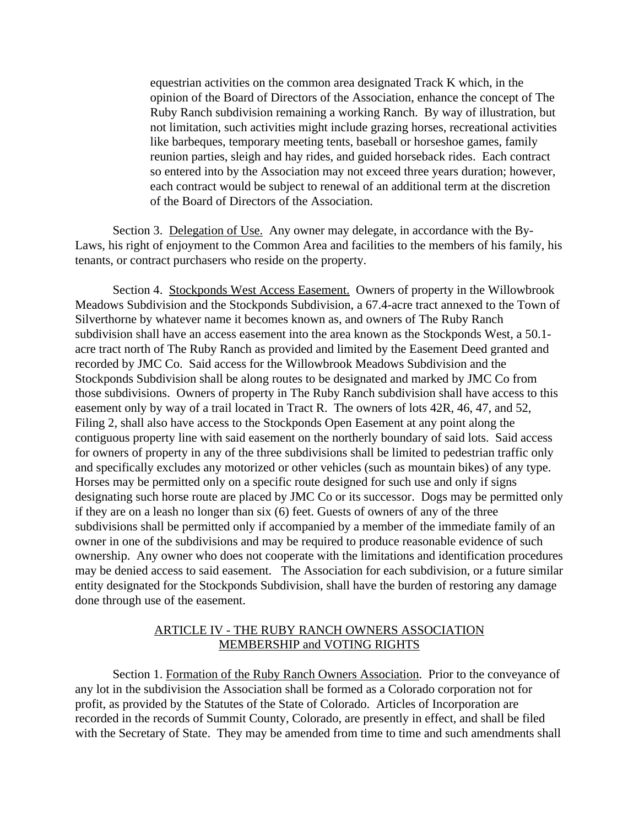equestrian activities on the common area designated Track K which, in the opinion of the Board of Directors of the Association, enhance the concept of The Ruby Ranch subdivision remaining a working Ranch. By way of illustration, but not limitation, such activities might include grazing horses, recreational activities like barbeques, temporary meeting tents, baseball or horseshoe games, family reunion parties, sleigh and hay rides, and guided horseback rides. Each contract so entered into by the Association may not exceed three years duration; however, each contract would be subject to renewal of an additional term at the discretion of the Board of Directors of the Association.

Section 3. Delegation of Use. Any owner may delegate, in accordance with the By-Laws, his right of enjoyment to the Common Area and facilities to the members of his family, his tenants, or contract purchasers who reside on the property.

Section 4. Stockponds West Access Easement. Owners of property in the Willowbrook Meadows Subdivision and the Stockponds Subdivision, a 67.4-acre tract annexed to the Town of Silverthorne by whatever name it becomes known as, and owners of The Ruby Ranch subdivision shall have an access easement into the area known as the Stockponds West, a 50.1 acre tract north of The Ruby Ranch as provided and limited by the Easement Deed granted and recorded by JMC Co. Said access for the Willowbrook Meadows Subdivision and the Stockponds Subdivision shall be along routes to be designated and marked by JMC Co from those subdivisions. Owners of property in The Ruby Ranch subdivision shall have access to this easement only by way of a trail located in Tract R. The owners of lots 42R, 46, 47, and 52, Filing 2, shall also have access to the Stockponds Open Easement at any point along the contiguous property line with said easement on the northerly boundary of said lots. Said access for owners of property in any of the three subdivisions shall be limited to pedestrian traffic only and specifically excludes any motorized or other vehicles (such as mountain bikes) of any type. Horses may be permitted only on a specific route designed for such use and only if signs designating such horse route are placed by JMC Co or its successor. Dogs may be permitted only if they are on a leash no longer than six (6) feet. Guests of owners of any of the three subdivisions shall be permitted only if accompanied by a member of the immediate family of an owner in one of the subdivisions and may be required to produce reasonable evidence of such ownership. Any owner who does not cooperate with the limitations and identification procedures may be denied access to said easement. The Association for each subdivision, or a future similar entity designated for the Stockponds Subdivision, shall have the burden of restoring any damage done through use of the easement.

#### ARTICLE IV - THE RUBY RANCH OWNERS ASSOCIATION MEMBERSHIP and VOTING RIGHTS

Section 1. Formation of the Ruby Ranch Owners Association. Prior to the conveyance of any lot in the subdivision the Association shall be formed as a Colorado corporation not for profit, as provided by the Statutes of the State of Colorado. Articles of Incorporation are recorded in the records of Summit County, Colorado, are presently in effect, and shall be filed with the Secretary of State. They may be amended from time to time and such amendments shall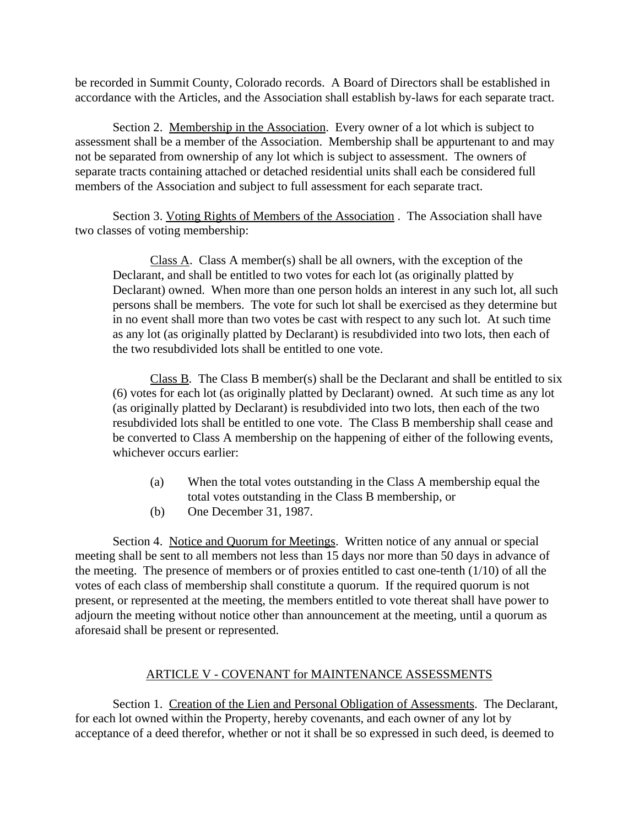be recorded in Summit County, Colorado records. A Board of Directors shall be established in accordance with the Articles, and the Association shall establish by-laws for each separate tract.

Section 2. Membership in the Association. Every owner of a lot which is subject to assessment shall be a member of the Association. Membership shall be appurtenant to and may not be separated from ownership of any lot which is subject to assessment. The owners of separate tracts containing attached or detached residential units shall each be considered full members of the Association and subject to full assessment for each separate tract.

Section 3. Voting Rights of Members of the Association . The Association shall have two classes of voting membership:

Class A. Class A member(s) shall be all owners, with the exception of the Declarant, and shall be entitled to two votes for each lot (as originally platted by Declarant) owned. When more than one person holds an interest in any such lot, all such persons shall be members. The vote for such lot shall be exercised as they determine but in no event shall more than two votes be cast with respect to any such lot. At such time as any lot (as originally platted by Declarant) is resubdivided into two lots, then each of the two resubdivided lots shall be entitled to one vote.

Class B. The Class B member(s) shall be the Declarant and shall be entitled to six (6) votes for each lot (as originally platted by Declarant) owned. At such time as any lot (as originally platted by Declarant) is resubdivided into two lots, then each of the two resubdivided lots shall be entitled to one vote. The Class B membership shall cease and be converted to Class A membership on the happening of either of the following events, whichever occurs earlier:

- (a) When the total votes outstanding in the Class A membership equal the total votes outstanding in the Class B membership, or
- (b) One December 31, 1987.

Section 4. Notice and Quorum for Meetings. Written notice of any annual or special meeting shall be sent to all members not less than 15 days nor more than 50 days in advance of the meeting. The presence of members or of proxies entitled to cast one-tenth (1/10) of all the votes of each class of membership shall constitute a quorum. If the required quorum is not present, or represented at the meeting, the members entitled to vote thereat shall have power to adjourn the meeting without notice other than announcement at the meeting, until a quorum as aforesaid shall be present or represented.

# ARTICLE V - COVENANT for MAINTENANCE ASSESSMENTS

Section 1. Creation of the Lien and Personal Obligation of Assessments. The Declarant, for each lot owned within the Property, hereby covenants, and each owner of any lot by acceptance of a deed therefor, whether or not it shall be so expressed in such deed, is deemed to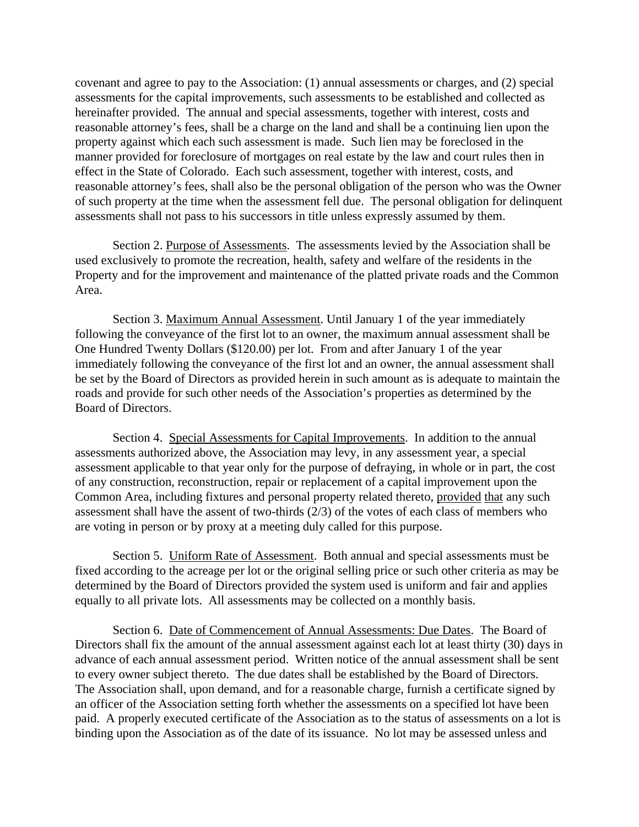covenant and agree to pay to the Association: (1) annual assessments or charges, and (2) special assessments for the capital improvements, such assessments to be established and collected as hereinafter provided. The annual and special assessments, together with interest, costs and reasonable attorney's fees, shall be a charge on the land and shall be a continuing lien upon the property against which each such assessment is made. Such lien may be foreclosed in the manner provided for foreclosure of mortgages on real estate by the law and court rules then in effect in the State of Colorado. Each such assessment, together with interest, costs, and reasonable attorney's fees, shall also be the personal obligation of the person who was the Owner of such property at the time when the assessment fell due. The personal obligation for delinquent assessments shall not pass to his successors in title unless expressly assumed by them.

Section 2. Purpose of Assessments. The assessments levied by the Association shall be used exclusively to promote the recreation, health, safety and welfare of the residents in the Property and for the improvement and maintenance of the platted private roads and the Common Area.

Section 3. Maximum Annual Assessment. Until January 1 of the year immediately following the conveyance of the first lot to an owner, the maximum annual assessment shall be One Hundred Twenty Dollars (\$120.00) per lot. From and after January 1 of the year immediately following the conveyance of the first lot and an owner, the annual assessment shall be set by the Board of Directors as provided herein in such amount as is adequate to maintain the roads and provide for such other needs of the Association's properties as determined by the Board of Directors.

Section 4. Special Assessments for Capital Improvements. In addition to the annual assessments authorized above, the Association may levy, in any assessment year, a special assessment applicable to that year only for the purpose of defraying, in whole or in part, the cost of any construction, reconstruction, repair or replacement of a capital improvement upon the Common Area, including fixtures and personal property related thereto, provided that any such assessment shall have the assent of two-thirds (2/3) of the votes of each class of members who are voting in person or by proxy at a meeting duly called for this purpose.

Section 5. Uniform Rate of Assessment. Both annual and special assessments must be fixed according to the acreage per lot or the original selling price or such other criteria as may be determined by the Board of Directors provided the system used is uniform and fair and applies equally to all private lots. All assessments may be collected on a monthly basis.

Section 6. Date of Commencement of Annual Assessments: Due Dates. The Board of Directors shall fix the amount of the annual assessment against each lot at least thirty (30) days in advance of each annual assessment period. Written notice of the annual assessment shall be sent to every owner subject thereto. The due dates shall be established by the Board of Directors. The Association shall, upon demand, and for a reasonable charge, furnish a certificate signed by an officer of the Association setting forth whether the assessments on a specified lot have been paid. A properly executed certificate of the Association as to the status of assessments on a lot is binding upon the Association as of the date of its issuance. No lot may be assessed unless and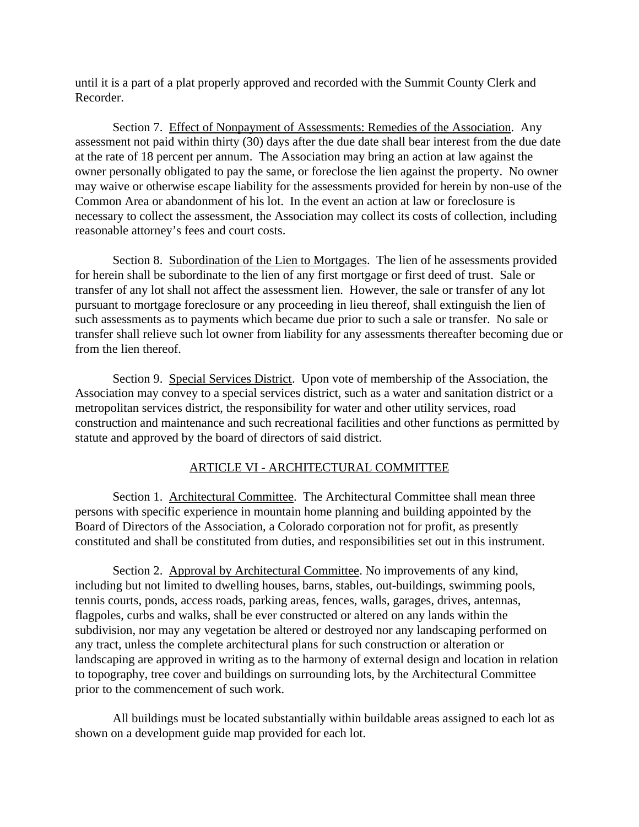until it is a part of a plat properly approved and recorded with the Summit County Clerk and Recorder.

Section 7. Effect of Nonpayment of Assessments: Remedies of the Association. Any assessment not paid within thirty (30) days after the due date shall bear interest from the due date at the rate of 18 percent per annum. The Association may bring an action at law against the owner personally obligated to pay the same, or foreclose the lien against the property. No owner may waive or otherwise escape liability for the assessments provided for herein by non-use of the Common Area or abandonment of his lot. In the event an action at law or foreclosure is necessary to collect the assessment, the Association may collect its costs of collection, including reasonable attorney's fees and court costs.

Section 8. Subordination of the Lien to Mortgages. The lien of he assessments provided for herein shall be subordinate to the lien of any first mortgage or first deed of trust. Sale or transfer of any lot shall not affect the assessment lien. However, the sale or transfer of any lot pursuant to mortgage foreclosure or any proceeding in lieu thereof, shall extinguish the lien of such assessments as to payments which became due prior to such a sale or transfer. No sale or transfer shall relieve such lot owner from liability for any assessments thereafter becoming due or from the lien thereof.

Section 9. Special Services District. Upon vote of membership of the Association, the Association may convey to a special services district, such as a water and sanitation district or a metropolitan services district, the responsibility for water and other utility services, road construction and maintenance and such recreational facilities and other functions as permitted by statute and approved by the board of directors of said district.

#### ARTICLE VI - ARCHITECTURAL COMMITTEE

Section 1. Architectural Committee. The Architectural Committee shall mean three persons with specific experience in mountain home planning and building appointed by the Board of Directors of the Association, a Colorado corporation not for profit, as presently constituted and shall be constituted from duties, and responsibilities set out in this instrument.

Section 2. Approval by Architectural Committee. No improvements of any kind, including but not limited to dwelling houses, barns, stables, out-buildings, swimming pools, tennis courts, ponds, access roads, parking areas, fences, walls, garages, drives, antennas, flagpoles, curbs and walks, shall be ever constructed or altered on any lands within the subdivision, nor may any vegetation be altered or destroyed nor any landscaping performed on any tract, unless the complete architectural plans for such construction or alteration or landscaping are approved in writing as to the harmony of external design and location in relation to topography, tree cover and buildings on surrounding lots, by the Architectural Committee prior to the commencement of such work.

All buildings must be located substantially within buildable areas assigned to each lot as shown on a development guide map provided for each lot.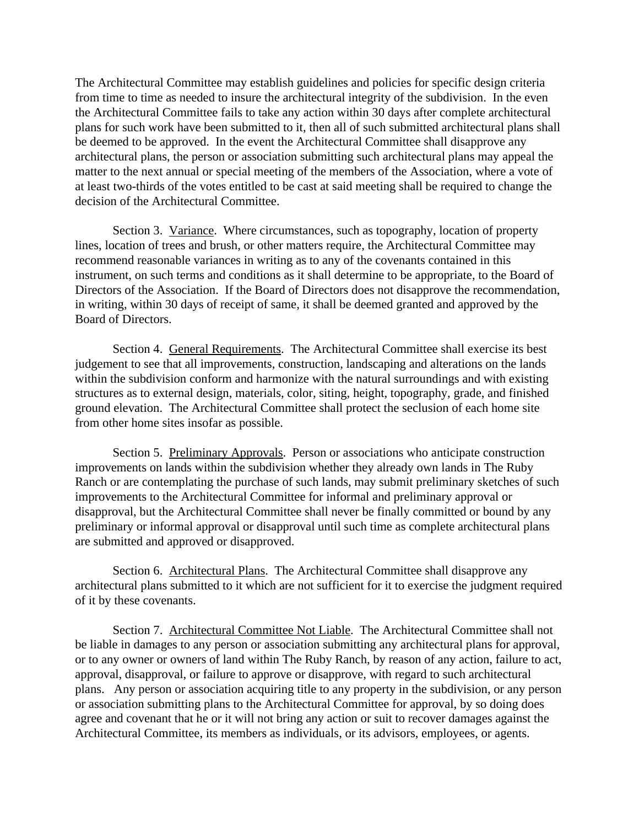The Architectural Committee may establish guidelines and policies for specific design criteria from time to time as needed to insure the architectural integrity of the subdivision. In the even the Architectural Committee fails to take any action within 30 days after complete architectural plans for such work have been submitted to it, then all of such submitted architectural plans shall be deemed to be approved. In the event the Architectural Committee shall disapprove any architectural plans, the person or association submitting such architectural plans may appeal the matter to the next annual or special meeting of the members of the Association, where a vote of at least two-thirds of the votes entitled to be cast at said meeting shall be required to change the decision of the Architectural Committee.

Section 3. Variance. Where circumstances, such as topography, location of property lines, location of trees and brush, or other matters require, the Architectural Committee may recommend reasonable variances in writing as to any of the covenants contained in this instrument, on such terms and conditions as it shall determine to be appropriate, to the Board of Directors of the Association. If the Board of Directors does not disapprove the recommendation, in writing, within 30 days of receipt of same, it shall be deemed granted and approved by the Board of Directors.

Section 4. General Requirements. The Architectural Committee shall exercise its best judgement to see that all improvements, construction, landscaping and alterations on the lands within the subdivision conform and harmonize with the natural surroundings and with existing structures as to external design, materials, color, siting, height, topography, grade, and finished ground elevation. The Architectural Committee shall protect the seclusion of each home site from other home sites insofar as possible.

Section 5. Preliminary Approvals. Person or associations who anticipate construction improvements on lands within the subdivision whether they already own lands in The Ruby Ranch or are contemplating the purchase of such lands, may submit preliminary sketches of such improvements to the Architectural Committee for informal and preliminary approval or disapproval, but the Architectural Committee shall never be finally committed or bound by any preliminary or informal approval or disapproval until such time as complete architectural plans are submitted and approved or disapproved.

Section 6. Architectural Plans. The Architectural Committee shall disapprove any architectural plans submitted to it which are not sufficient for it to exercise the judgment required of it by these covenants.

Section 7. Architectural Committee Not Liable. The Architectural Committee shall not be liable in damages to any person or association submitting any architectural plans for approval, or to any owner or owners of land within The Ruby Ranch, by reason of any action, failure to act, approval, disapproval, or failure to approve or disapprove, with regard to such architectural plans. Any person or association acquiring title to any property in the subdivision, or any person or association submitting plans to the Architectural Committee for approval, by so doing does agree and covenant that he or it will not bring any action or suit to recover damages against the Architectural Committee, its members as individuals, or its advisors, employees, or agents.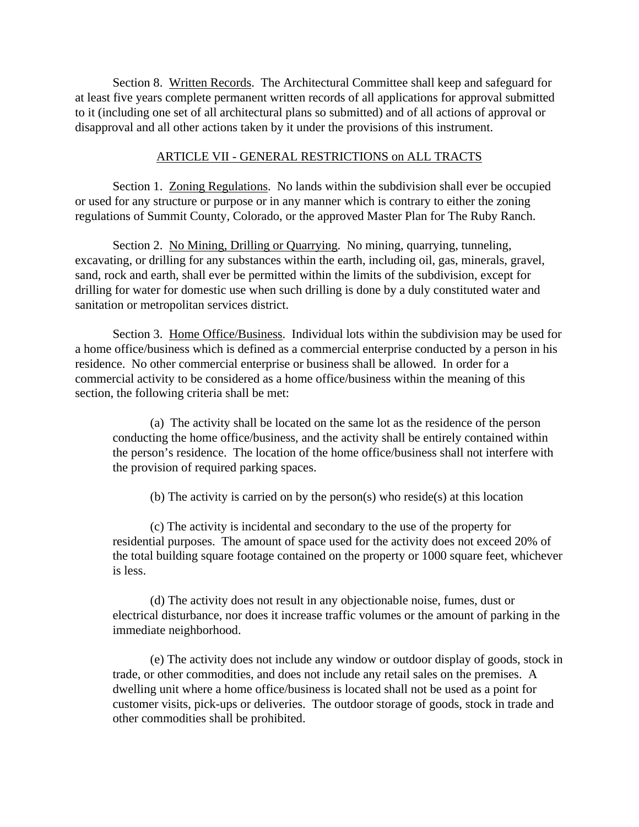Section 8. Written Records. The Architectural Committee shall keep and safeguard for at least five years complete permanent written records of all applications for approval submitted to it (including one set of all architectural plans so submitted) and of all actions of approval or disapproval and all other actions taken by it under the provisions of this instrument.

#### ARTICLE VII - GENERAL RESTRICTIONS on ALL TRACTS

Section 1. Zoning Regulations. No lands within the subdivision shall ever be occupied or used for any structure or purpose or in any manner which is contrary to either the zoning regulations of Summit County, Colorado, or the approved Master Plan for The Ruby Ranch.

Section 2. No Mining, Drilling or Quarrying. No mining, quarrying, tunneling, excavating, or drilling for any substances within the earth, including oil, gas, minerals, gravel, sand, rock and earth, shall ever be permitted within the limits of the subdivision, except for drilling for water for domestic use when such drilling is done by a duly constituted water and sanitation or metropolitan services district.

Section 3. Home Office/Business. Individual lots within the subdivision may be used for a home office/business which is defined as a commercial enterprise conducted by a person in his residence. No other commercial enterprise or business shall be allowed. In order for a commercial activity to be considered as a home office/business within the meaning of this section, the following criteria shall be met:

(a) The activity shall be located on the same lot as the residence of the person conducting the home office/business, and the activity shall be entirely contained within the person's residence. The location of the home office/business shall not interfere with the provision of required parking spaces.

(b) The activity is carried on by the person(s) who reside(s) at this location

(c) The activity is incidental and secondary to the use of the property for residential purposes. The amount of space used for the activity does not exceed 20% of the total building square footage contained on the property or 1000 square feet, whichever is less.

(d) The activity does not result in any objectionable noise, fumes, dust or electrical disturbance, nor does it increase traffic volumes or the amount of parking in the immediate neighborhood.

(e) The activity does not include any window or outdoor display of goods, stock in trade, or other commodities, and does not include any retail sales on the premises. A dwelling unit where a home office/business is located shall not be used as a point for customer visits, pick-ups or deliveries. The outdoor storage of goods, stock in trade and other commodities shall be prohibited.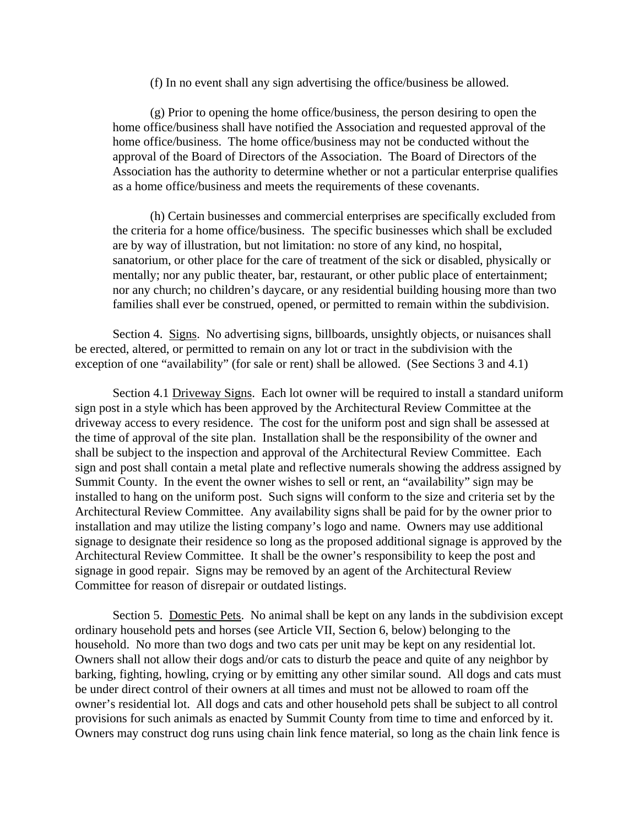(f) In no event shall any sign advertising the office/business be allowed.

(g) Prior to opening the home office/business, the person desiring to open the home office/business shall have notified the Association and requested approval of the home office/business. The home office/business may not be conducted without the approval of the Board of Directors of the Association. The Board of Directors of the Association has the authority to determine whether or not a particular enterprise qualifies as a home office/business and meets the requirements of these covenants.

(h) Certain businesses and commercial enterprises are specifically excluded from the criteria for a home office/business. The specific businesses which shall be excluded are by way of illustration, but not limitation: no store of any kind, no hospital, sanatorium, or other place for the care of treatment of the sick or disabled, physically or mentally; nor any public theater, bar, restaurant, or other public place of entertainment; nor any church; no children's daycare, or any residential building housing more than two families shall ever be construed, opened, or permitted to remain within the subdivision.

Section 4. Signs. No advertising signs, billboards, unsightly objects, or nuisances shall be erected, altered, or permitted to remain on any lot or tract in the subdivision with the exception of one "availability" (for sale or rent) shall be allowed. (See Sections 3 and 4.1)

Section 4.1 Driveway Signs. Each lot owner will be required to install a standard uniform sign post in a style which has been approved by the Architectural Review Committee at the driveway access to every residence. The cost for the uniform post and sign shall be assessed at the time of approval of the site plan. Installation shall be the responsibility of the owner and shall be subject to the inspection and approval of the Architectural Review Committee. Each sign and post shall contain a metal plate and reflective numerals showing the address assigned by Summit County. In the event the owner wishes to sell or rent, an "availability" sign may be installed to hang on the uniform post. Such signs will conform to the size and criteria set by the Architectural Review Committee. Any availability signs shall be paid for by the owner prior to installation and may utilize the listing company's logo and name. Owners may use additional signage to designate their residence so long as the proposed additional signage is approved by the Architectural Review Committee. It shall be the owner's responsibility to keep the post and signage in good repair. Signs may be removed by an agent of the Architectural Review Committee for reason of disrepair or outdated listings.

Section 5. Domestic Pets. No animal shall be kept on any lands in the subdivision except ordinary household pets and horses (see Article VII, Section 6, below) belonging to the household. No more than two dogs and two cats per unit may be kept on any residential lot. Owners shall not allow their dogs and/or cats to disturb the peace and quite of any neighbor by barking, fighting, howling, crying or by emitting any other similar sound. All dogs and cats must be under direct control of their owners at all times and must not be allowed to roam off the owner's residential lot. All dogs and cats and other household pets shall be subject to all control provisions for such animals as enacted by Summit County from time to time and enforced by it. Owners may construct dog runs using chain link fence material, so long as the chain link fence is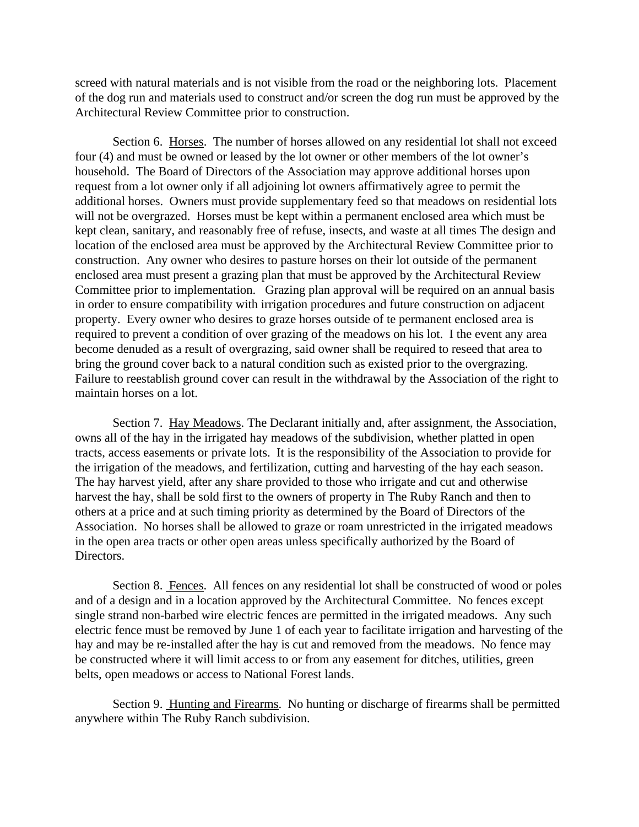screed with natural materials and is not visible from the road or the neighboring lots. Placement of the dog run and materials used to construct and/or screen the dog run must be approved by the Architectural Review Committee prior to construction.

Section 6. Horses. The number of horses allowed on any residential lot shall not exceed four (4) and must be owned or leased by the lot owner or other members of the lot owner's household. The Board of Directors of the Association may approve additional horses upon request from a lot owner only if all adjoining lot owners affirmatively agree to permit the additional horses. Owners must provide supplementary feed so that meadows on residential lots will not be overgrazed. Horses must be kept within a permanent enclosed area which must be kept clean, sanitary, and reasonably free of refuse, insects, and waste at all times The design and location of the enclosed area must be approved by the Architectural Review Committee prior to construction. Any owner who desires to pasture horses on their lot outside of the permanent enclosed area must present a grazing plan that must be approved by the Architectural Review Committee prior to implementation. Grazing plan approval will be required on an annual basis in order to ensure compatibility with irrigation procedures and future construction on adjacent property. Every owner who desires to graze horses outside of te permanent enclosed area is required to prevent a condition of over grazing of the meadows on his lot. I the event any area become denuded as a result of overgrazing, said owner shall be required to reseed that area to bring the ground cover back to a natural condition such as existed prior to the overgrazing. Failure to reestablish ground cover can result in the withdrawal by the Association of the right to maintain horses on a lot.

Section 7. Hay Meadows. The Declarant initially and, after assignment, the Association, owns all of the hay in the irrigated hay meadows of the subdivision, whether platted in open tracts, access easements or private lots. It is the responsibility of the Association to provide for the irrigation of the meadows, and fertilization, cutting and harvesting of the hay each season. The hay harvest yield, after any share provided to those who irrigate and cut and otherwise harvest the hay, shall be sold first to the owners of property in The Ruby Ranch and then to others at a price and at such timing priority as determined by the Board of Directors of the Association. No horses shall be allowed to graze or roam unrestricted in the irrigated meadows in the open area tracts or other open areas unless specifically authorized by the Board of Directors.

Section 8. Fences. All fences on any residential lot shall be constructed of wood or poles and of a design and in a location approved by the Architectural Committee. No fences except single strand non-barbed wire electric fences are permitted in the irrigated meadows. Any such electric fence must be removed by June 1 of each year to facilitate irrigation and harvesting of the hay and may be re-installed after the hay is cut and removed from the meadows. No fence may be constructed where it will limit access to or from any easement for ditches, utilities, green belts, open meadows or access to National Forest lands.

Section 9. Hunting and Firearms. No hunting or discharge of firearms shall be permitted anywhere within The Ruby Ranch subdivision.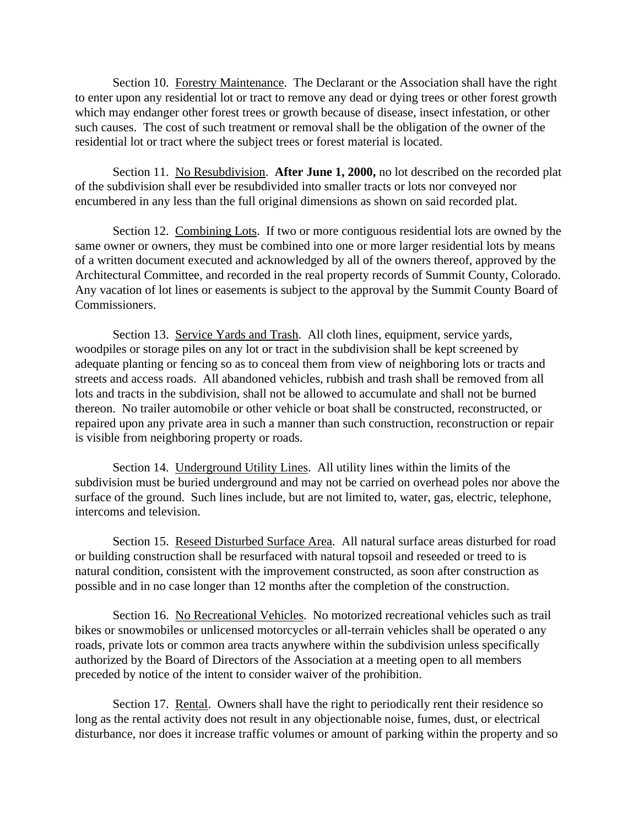Section 10. Forestry Maintenance. The Declarant or the Association shall have the right to enter upon any residential lot or tract to remove any dead or dying trees or other forest growth which may endanger other forest trees or growth because of disease, insect infestation, or other such causes. The cost of such treatment or removal shall be the obligation of the owner of the residential lot or tract where the subject trees or forest material is located.

Section 11. No Resubdivision. **After June 1, 2000,** no lot described on the recorded plat of the subdivision shall ever be resubdivided into smaller tracts or lots nor conveyed nor encumbered in any less than the full original dimensions as shown on said recorded plat.

Section 12. Combining Lots. If two or more contiguous residential lots are owned by the same owner or owners, they must be combined into one or more larger residential lots by means of a written document executed and acknowledged by all of the owners thereof, approved by the Architectural Committee, and recorded in the real property records of Summit County, Colorado. Any vacation of lot lines or easements is subject to the approval by the Summit County Board of Commissioners.

Section 13. Service Yards and Trash. All cloth lines, equipment, service yards, woodpiles or storage piles on any lot or tract in the subdivision shall be kept screened by adequate planting or fencing so as to conceal them from view of neighboring lots or tracts and streets and access roads. All abandoned vehicles, rubbish and trash shall be removed from all lots and tracts in the subdivision, shall not be allowed to accumulate and shall not be burned thereon. No trailer automobile or other vehicle or boat shall be constructed, reconstructed, or repaired upon any private area in such a manner than such construction, reconstruction or repair is visible from neighboring property or roads.

Section 14. Underground Utility Lines. All utility lines within the limits of the subdivision must be buried underground and may not be carried on overhead poles nor above the surface of the ground. Such lines include, but are not limited to, water, gas, electric, telephone, intercoms and television.

Section 15. Reseed Disturbed Surface Area. All natural surface areas disturbed for road or building construction shall be resurfaced with natural topsoil and reseeded or treed to is natural condition, consistent with the improvement constructed, as soon after construction as possible and in no case longer than 12 months after the completion of the construction.

Section 16. No Recreational Vehicles. No motorized recreational vehicles such as trail bikes or snowmobiles or unlicensed motorcycles or all-terrain vehicles shall be operated o any roads, private lots or common area tracts anywhere within the subdivision unless specifically authorized by the Board of Directors of the Association at a meeting open to all members preceded by notice of the intent to consider waiver of the prohibition.

Section 17. Rental. Owners shall have the right to periodically rent their residence so long as the rental activity does not result in any objectionable noise, fumes, dust, or electrical disturbance, nor does it increase traffic volumes or amount of parking within the property and so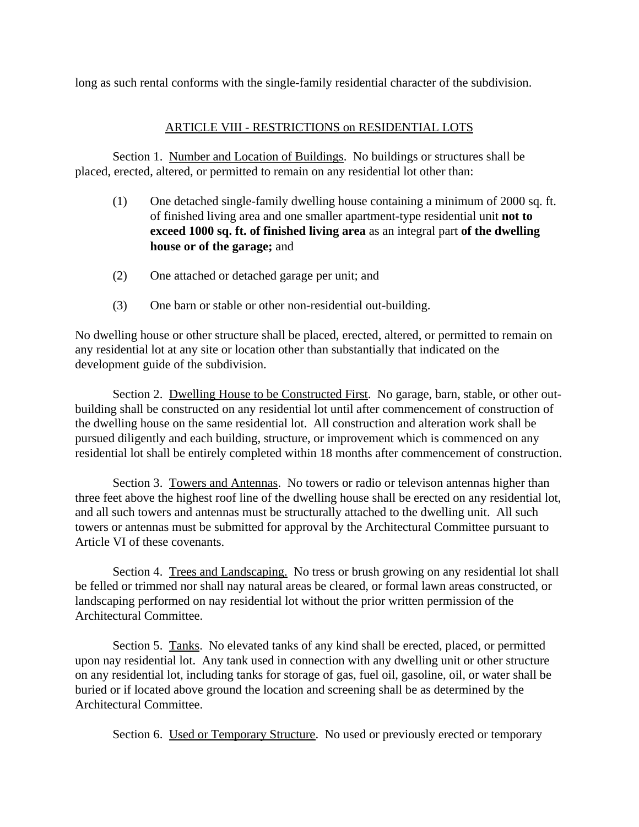long as such rental conforms with the single-family residential character of the subdivision.

## ARTICLE VIII - RESTRICTIONS on RESIDENTIAL LOTS

Section 1. Number and Location of Buildings. No buildings or structures shall be placed, erected, altered, or permitted to remain on any residential lot other than:

- (1) One detached single-family dwelling house containing a minimum of 2000 sq. ft. of finished living area and one smaller apartment-type residential unit **not to exceed 1000 sq. ft. of finished living area** as an integral part **of the dwelling house or of the garage;** and
- (2) One attached or detached garage per unit; and
- (3) One barn or stable or other non-residential out-building.

No dwelling house or other structure shall be placed, erected, altered, or permitted to remain on any residential lot at any site or location other than substantially that indicated on the development guide of the subdivision.

Section 2. Dwelling House to be Constructed First. No garage, barn, stable, or other outbuilding shall be constructed on any residential lot until after commencement of construction of the dwelling house on the same residential lot. All construction and alteration work shall be pursued diligently and each building, structure, or improvement which is commenced on any residential lot shall be entirely completed within 18 months after commencement of construction.

Section 3. Towers and Antennas. No towers or radio or televison antennas higher than three feet above the highest roof line of the dwelling house shall be erected on any residential lot, and all such towers and antennas must be structurally attached to the dwelling unit. All such towers or antennas must be submitted for approval by the Architectural Committee pursuant to Article VI of these covenants.

Section 4. Trees and Landscaping. No tress or brush growing on any residential lot shall be felled or trimmed nor shall nay natural areas be cleared, or formal lawn areas constructed, or landscaping performed on nay residential lot without the prior written permission of the Architectural Committee.

Section 5. Tanks. No elevated tanks of any kind shall be erected, placed, or permitted upon nay residential lot. Any tank used in connection with any dwelling unit or other structure on any residential lot, including tanks for storage of gas, fuel oil, gasoline, oil, or water shall be buried or if located above ground the location and screening shall be as determined by the Architectural Committee.

Section 6. Used or Temporary Structure. No used or previously erected or temporary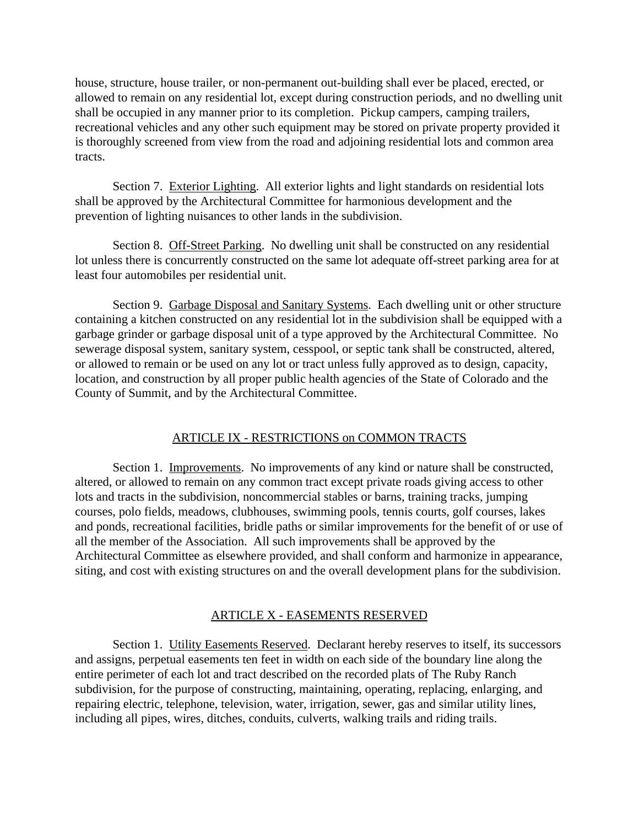house, structure, house trailer, or non-permanent out-building shall ever be placed, erected, or allowed to remain on any residential lot, except during construction periods, and no dwelling unit shall be occupied in any manner prior to its completion. Pickup campers, camping trailers, recreational vehicles and any other such equipment may be stored on private property provided it is thoroughly screened from view from the road and adjoining residential lots and common area tracts.

Section 7. Exterior Lighting. All exterior lights and light standards on residential lots shall be approved by the Architectural Committee for harmonious development and the prevention of lighting nuisances to other lands in the subdivision.

Section 8. Off-Street Parking. No dwelling unit shall be constructed on any residential lot unless there is concurrently constructed on the same lot adequate off-street parking area for at least four automobiles per residential unit.

Section 9. Garbage Disposal and Sanitary Systems. Each dwelling unit or other structure containing a kitchen constructed on any residential lot in the subdivision shall be equipped with a garbage grinder or garbage disposal unit of a type approved by the Architectural Committee. No sewerage disposal system, sanitary system, cesspool, or septic tank shall be constructed, altered, or allowed to remain or be used on any lot or tract unless fully approved as to design, capacity, location, and construction by all proper public health agencies of the State of Colorado and the County of Summit, and by the Architectural Committee.

#### ARTICLE IX - RESTRICTIONS on COMMON TRACTS

Section 1. Improvements. No improvements of any kind or nature shall be constructed, altered, or allowed to remain on any common tract except private roads giving access to other lots and tracts in the subdivision, noncommercial stables or barns, training tracks, jumping courses, polo fields, meadows, clubhouses, swimming pools, tennis courts, golf courses, lakes and ponds, recreational facilities, bridle paths or similar improvements for the benefit of or use of all the member of the Association. All such improvements shall be approved by the Architectural Committee as elsewhere provided, and shall conform and harmonize in appearance, siting, and cost with existing structures on and the overall development plans for the subdivision.

#### ARTICLE X - EASEMENTS RESERVED

Section 1. Utility Easements Reserved. Declarant hereby reserves to itself, its successors and assigns, perpetual easements ten feet in width on each side of the boundary line along the entire perimeter of each lot and tract described on the recorded plats of The Ruby Ranch subdivision, for the purpose of constructing, maintaining, operating, replacing, enlarging, and repairing electric, telephone, television, water, irrigation, sewer, gas and similar utility lines, including all pipes, wires, ditches, conduits, culverts, walking trails and riding trails.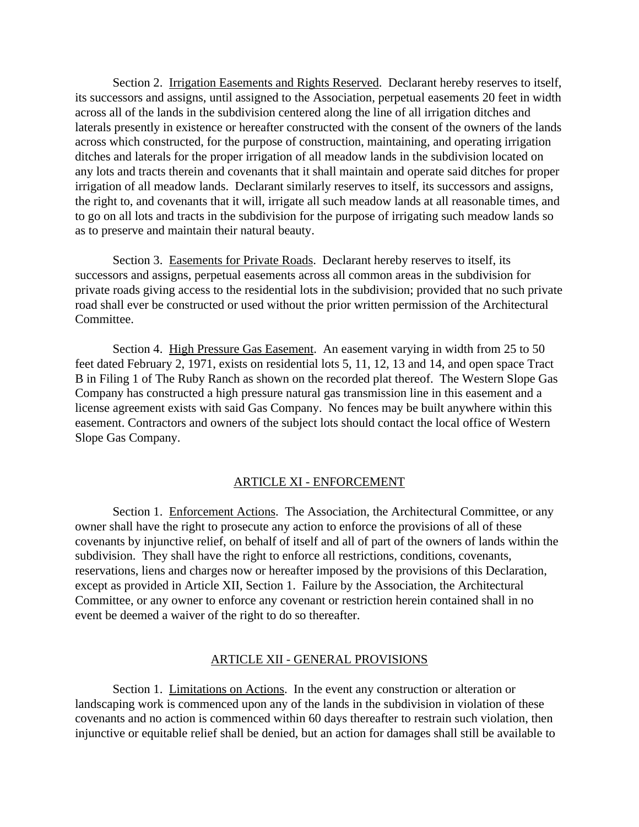Section 2. Irrigation Easements and Rights Reserved. Declarant hereby reserves to itself, its successors and assigns, until assigned to the Association, perpetual easements 20 feet in width across all of the lands in the subdivision centered along the line of all irrigation ditches and laterals presently in existence or hereafter constructed with the consent of the owners of the lands across which constructed, for the purpose of construction, maintaining, and operating irrigation ditches and laterals for the proper irrigation of all meadow lands in the subdivision located on any lots and tracts therein and covenants that it shall maintain and operate said ditches for proper irrigation of all meadow lands. Declarant similarly reserves to itself, its successors and assigns, the right to, and covenants that it will, irrigate all such meadow lands at all reasonable times, and to go on all lots and tracts in the subdivision for the purpose of irrigating such meadow lands so as to preserve and maintain their natural beauty.

Section 3. Easements for Private Roads. Declarant hereby reserves to itself, its successors and assigns, perpetual easements across all common areas in the subdivision for private roads giving access to the residential lots in the subdivision; provided that no such private road shall ever be constructed or used without the prior written permission of the Architectural Committee.

Section 4. High Pressure Gas Easement. An easement varying in width from 25 to 50 feet dated February 2, 1971, exists on residential lots 5, 11, 12, 13 and 14, and open space Tract B in Filing 1 of The Ruby Ranch as shown on the recorded plat thereof. The Western Slope Gas Company has constructed a high pressure natural gas transmission line in this easement and a license agreement exists with said Gas Company. No fences may be built anywhere within this easement. Contractors and owners of the subject lots should contact the local office of Western Slope Gas Company.

#### ARTICLE XI - ENFORCEMENT

Section 1. Enforcement Actions. The Association, the Architectural Committee, or any owner shall have the right to prosecute any action to enforce the provisions of all of these covenants by injunctive relief, on behalf of itself and all of part of the owners of lands within the subdivision. They shall have the right to enforce all restrictions, conditions, covenants, reservations, liens and charges now or hereafter imposed by the provisions of this Declaration, except as provided in Article XII, Section 1. Failure by the Association, the Architectural Committee, or any owner to enforce any covenant or restriction herein contained shall in no event be deemed a waiver of the right to do so thereafter.

#### ARTICLE XII - GENERAL PROVISIONS

Section 1. Limitations on Actions. In the event any construction or alteration or landscaping work is commenced upon any of the lands in the subdivision in violation of these covenants and no action is commenced within 60 days thereafter to restrain such violation, then injunctive or equitable relief shall be denied, but an action for damages shall still be available to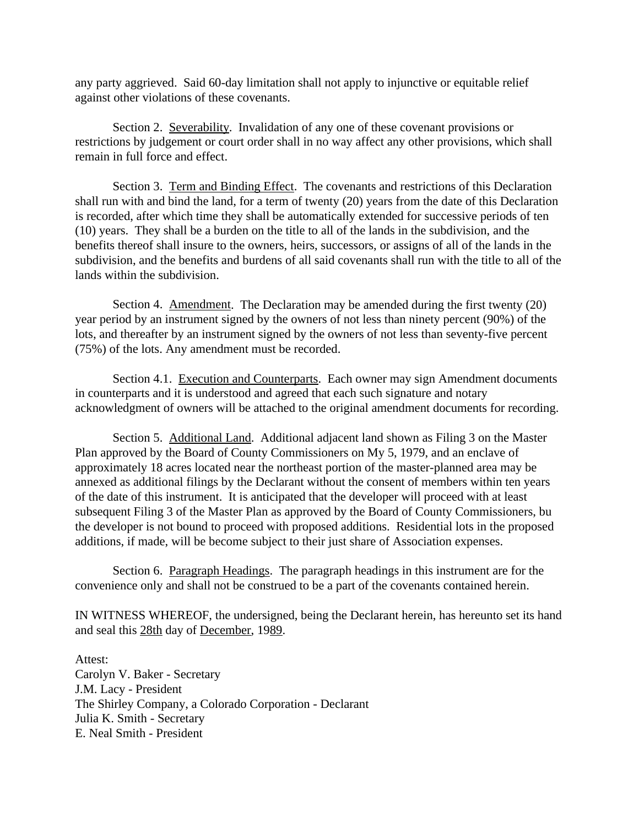any party aggrieved. Said 60-day limitation shall not apply to injunctive or equitable relief against other violations of these covenants.

Section 2. Severability. Invalidation of any one of these covenant provisions or restrictions by judgement or court order shall in no way affect any other provisions, which shall remain in full force and effect.

Section 3. Term and Binding Effect. The covenants and restrictions of this Declaration shall run with and bind the land, for a term of twenty (20) years from the date of this Declaration is recorded, after which time they shall be automatically extended for successive periods of ten (10) years. They shall be a burden on the title to all of the lands in the subdivision, and the benefits thereof shall insure to the owners, heirs, successors, or assigns of all of the lands in the subdivision, and the benefits and burdens of all said covenants shall run with the title to all of the lands within the subdivision.

Section 4. Amendment. The Declaration may be amended during the first twenty (20) year period by an instrument signed by the owners of not less than ninety percent (90%) of the lots, and thereafter by an instrument signed by the owners of not less than seventy-five percent (75%) of the lots. Any amendment must be recorded.

Section 4.1. Execution and Counterparts. Each owner may sign Amendment documents in counterparts and it is understood and agreed that each such signature and notary acknowledgment of owners will be attached to the original amendment documents for recording.

Section 5. Additional Land. Additional adjacent land shown as Filing 3 on the Master Plan approved by the Board of County Commissioners on My 5, 1979, and an enclave of approximately 18 acres located near the northeast portion of the master-planned area may be annexed as additional filings by the Declarant without the consent of members within ten years of the date of this instrument. It is anticipated that the developer will proceed with at least subsequent Filing 3 of the Master Plan as approved by the Board of County Commissioners, bu the developer is not bound to proceed with proposed additions. Residential lots in the proposed additions, if made, will be become subject to their just share of Association expenses.

Section 6. Paragraph Headings. The paragraph headings in this instrument are for the convenience only and shall not be construed to be a part of the covenants contained herein.

IN WITNESS WHEREOF, the undersigned, being the Declarant herein, has hereunto set its hand and seal this 28th day of December, 1989.

Attest: Carolyn V. Baker - Secretary J.M. Lacy - President The Shirley Company, a Colorado Corporation - Declarant Julia K. Smith - Secretary E. Neal Smith - President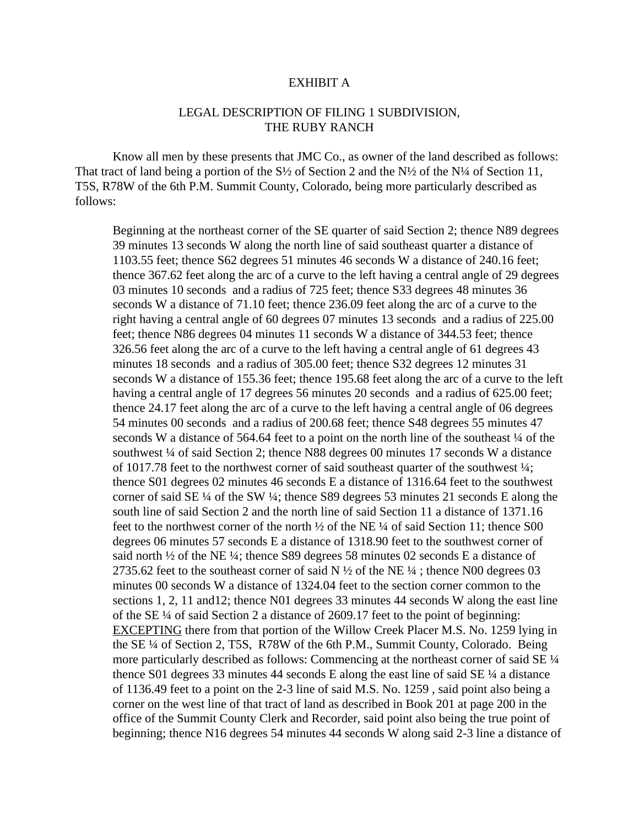#### EXHIBIT A

#### LEGAL DESCRIPTION OF FILING 1 SUBDIVISION, THE RUBY RANCH

Know all men by these presents that JMC Co., as owner of the land described as follows: That tract of land being a portion of the  $S\frac{1}{2}$  of Section 2 and the N $\frac{1}{2}$  of the N $\frac{1}{4}$  of Section 11, T5S, R78W of the 6th P.M. Summit County, Colorado, being more particularly described as follows:

Beginning at the northeast corner of the SE quarter of said Section 2; thence N89 degrees 39 minutes 13 seconds W along the north line of said southeast quarter a distance of 1103.55 feet; thence S62 degrees 51 minutes 46 seconds W a distance of 240.16 feet; thence 367.62 feet along the arc of a curve to the left having a central angle of 29 degrees 03 minutes 10 seconds and a radius of 725 feet; thence S33 degrees 48 minutes 36 seconds W a distance of 71.10 feet; thence 236.09 feet along the arc of a curve to the right having a central angle of 60 degrees 07 minutes 13 seconds and a radius of 225.00 feet; thence N86 degrees 04 minutes 11 seconds W a distance of 344.53 feet; thence 326.56 feet along the arc of a curve to the left having a central angle of 61 degrees 43 minutes 18 seconds and a radius of 305.00 feet; thence S32 degrees 12 minutes 31 seconds W a distance of 155.36 feet; thence 195.68 feet along the arc of a curve to the left having a central angle of 17 degrees 56 minutes 20 seconds and a radius of 625.00 feet; thence 24.17 feet along the arc of a curve to the left having a central angle of 06 degrees 54 minutes 00 seconds and a radius of 200.68 feet; thence S48 degrees 55 minutes 47 seconds W a distance of 564.64 feet to a point on the north line of the southeast  $\frac{1}{4}$  of the southwest ¼ of said Section 2; thence N88 degrees 00 minutes 17 seconds W a distance of 1017.78 feet to the northwest corner of said southeast quarter of the southwest  $\frac{1}{4}$ ; thence S01 degrees 02 minutes 46 seconds E a distance of 1316.64 feet to the southwest corner of said SE  $\frac{1}{4}$  of the SW  $\frac{1}{4}$ ; thence S89 degrees 53 minutes 21 seconds E along the south line of said Section 2 and the north line of said Section 11 a distance of 1371.16 feet to the northwest corner of the north  $\frac{1}{2}$  of the NE  $\frac{1}{4}$  of said Section 11; thence S00 degrees 06 minutes 57 seconds E a distance of 1318.90 feet to the southwest corner of said north ½ of the NE ¼; thence S89 degrees 58 minutes 02 seconds E a distance of 2735.62 feet to the southeast corner of said N  $\frac{1}{2}$  of the NE  $\frac{1}{4}$ ; thence N00 degrees 03 minutes 00 seconds W a distance of 1324.04 feet to the section corner common to the sections 1, 2, 11 and12; thence N01 degrees 33 minutes 44 seconds W along the east line of the SE ¼ of said Section 2 a distance of 2609.17 feet to the point of beginning: EXCEPTING there from that portion of the Willow Creek Placer M.S. No. 1259 lying in the SE ¼ of Section 2, T5S, R78W of the 6th P.M., Summit County, Colorado. Being more particularly described as follows: Commencing at the northeast corner of said SE ¼ thence S01 degrees 33 minutes 44 seconds E along the east line of said SE ¼ a distance of 1136.49 feet to a point on the 2-3 line of said M.S. No. 1259 , said point also being a corner on the west line of that tract of land as described in Book 201 at page 200 in the office of the Summit County Clerk and Recorder, said point also being the true point of beginning; thence N16 degrees 54 minutes 44 seconds W along said 2-3 line a distance of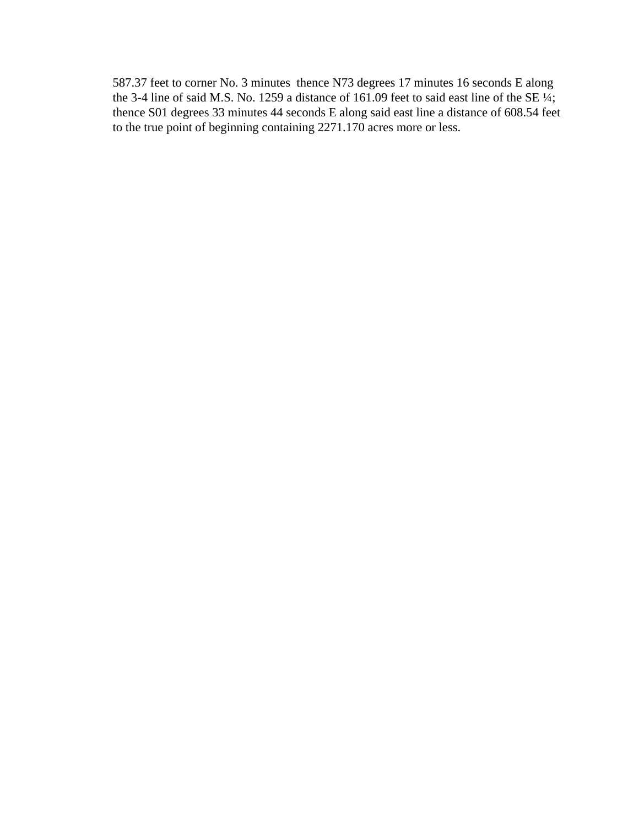587.37 feet to corner No. 3 minutes thence N73 degrees 17 minutes 16 seconds E along the 3-4 line of said M.S. No. 1259 a distance of 161.09 feet to said east line of the SE ¼; thence S01 degrees 33 minutes 44 seconds E along said east line a distance of 608.54 feet to the true point of beginning containing 2271.170 acres more or less.